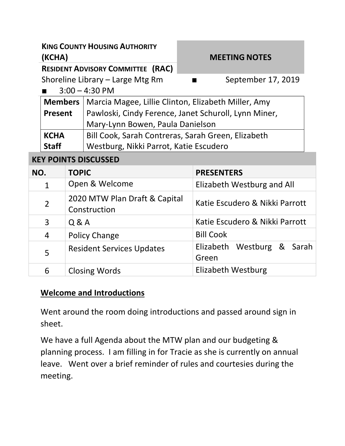**KING COUNTY HOUSING AUTHORITY (KCHA) MEETING NOTES RESIDENT ADVISORY COMMITTEE (RAC)** Shoreline Library – Large Mtg Rm ■ September 17, 2019  $3:00 - 4:30$  PM **Members**  Marcia Magee, Lillie Clinton, Elizabeth Miller, Amy **Present**  Pawloski, Cindy Ference, Janet Schuroll, Lynn Miner, Mary-Lynn Bowen, Paula Danielson **KCHA Staff**  Bill Cook, Sarah Contreras, Sarah Green, Elizabeth Westburg, Nikki Parrot, Katie Escudero **KEY POINTS DISCUSSED NO. TOPIC PRESENTERS**  1 | Open & Welcome | Elizabeth Westburg and All 2  $\Big| 2020$  MTW Plan Draft & Capital Katie Escudero & Nikki Parrott

3 | Q & A Katie Escudero & Nikki Parrott

| 4 | <b>Policy Change</b>             | <b>Bill Cook</b>                    |
|---|----------------------------------|-------------------------------------|
|   | <b>Resident Services Updates</b> | Elizabeth Westburg & Sarah<br>Green |
| 6 | <b>Closing Words</b>             | Elizabeth Westburg                  |
|   |                                  |                                     |

#### **Welcome and Introductions**

Construction

Went around the room doing introductions and passed around sign in sheet.

We have a full Agenda about the MTW plan and our budgeting & planning process. I am filling in for Tracie as she is currently on annual leave. Went over a brief reminder of rules and courtesies during the meeting.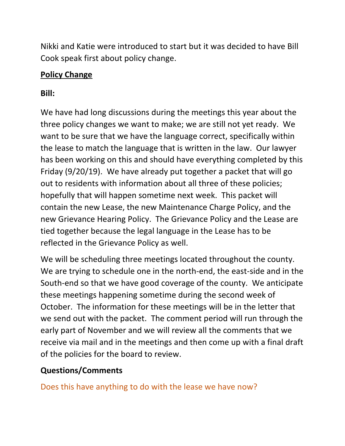Nikki and Katie were introduced to start but it was decided to have Bill Cook speak first about policy change.

## **Policy Change**

# **Bill:**

We have had long discussions during the meetings this year about the three policy changes we want to make; we are still not yet ready. We want to be sure that we have the language correct, specifically within the lease to match the language that is written in the law. Our lawyer has been working on this and should have everything completed by this Friday (9/20/19). We have already put together a packet that will go out to residents with information about all three of these policies; hopefully that will happen sometime next week. This packet will contain the new Lease, the new Maintenance Charge Policy, and the new Grievance Hearing Policy. The Grievance Policy and the Lease are tied together because the legal language in the Lease has to be reflected in the Grievance Policy as well.

We will be scheduling three meetings located throughout the county. We are trying to schedule one in the north-end, the east-side and in the South-end so that we have good coverage of the county. We anticipate these meetings happening sometime during the second week of October. The information for these meetings will be in the letter that we send out with the packet. The comment period will run through the early part of November and we will review all the comments that we receive via mail and in the meetings and then come up with a final draft of the policies for the board to review.

# **Questions/Comments**

Does this have anything to do with the lease we have now?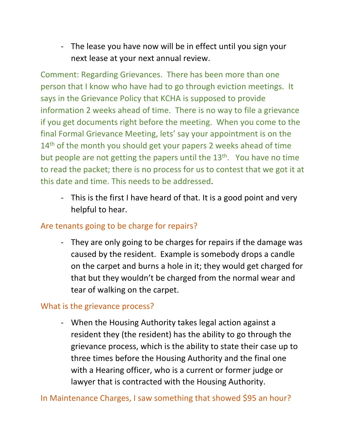- The lease you have now will be in effect until you sign your next lease at your next annual review.

Comment: Regarding Grievances. There has been more than one person that I know who have had to go through eviction meetings. It says in the Grievance Policy that KCHA is supposed to provide information 2 weeks ahead of time. There is no way to file a grievance if you get documents right before the meeting. When you come to the final Formal Grievance Meeting, lets' say your appointment is on the  $14<sup>th</sup>$  of the month you should get your papers 2 weeks ahead of time but people are not getting the papers until the  $13<sup>th</sup>$ . You have no time to read the packet; there is no process for us to contest that we got it at this date and time. This needs to be addressed.

- This is the first I have heard of that. It is a good point and very helpful to hear.

## Are tenants going to be charge for repairs?

- They are only going to be charges for repairs if the damage was caused by the resident. Example is somebody drops a candle on the carpet and burns a hole in it; they would get charged for that but they wouldn't be charged from the normal wear and tear of walking on the carpet.

### What is the grievance process?

- When the Housing Authority takes legal action against a resident they (the resident) has the ability to go through the grievance process, which is the ability to state their case up to three times before the Housing Authority and the final one with a Hearing officer, who is a current or former judge or lawyer that is contracted with the Housing Authority.

In Maintenance Charges, I saw something that showed \$95 an hour?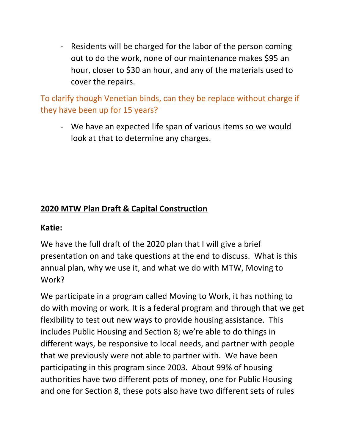- Residents will be charged for the labor of the person coming out to do the work, none of our maintenance makes \$95 an hour, closer to \$30 an hour, and any of the materials used to cover the repairs.

To clarify though Venetian binds, can they be replace without charge if they have been up for 15 years?

- We have an expected life span of various items so we would look at that to determine any charges.

# **2020 MTW Plan Draft & Capital Construction**

#### **Katie:**

We have the full draft of the 2020 plan that I will give a brief presentation on and take questions at the end to discuss. What is this annual plan, why we use it, and what we do with MTW, Moving to Work?

We participate in a program called Moving to Work, it has nothing to do with moving or work. It is a federal program and through that we get flexibility to test out new ways to provide housing assistance. This includes Public Housing and Section 8; we're able to do things in different ways, be responsive to local needs, and partner with people that we previously were not able to partner with. We have been participating in this program since 2003. About 99% of housing authorities have two different pots of money, one for Public Housing and one for Section 8, these pots also have two different sets of rules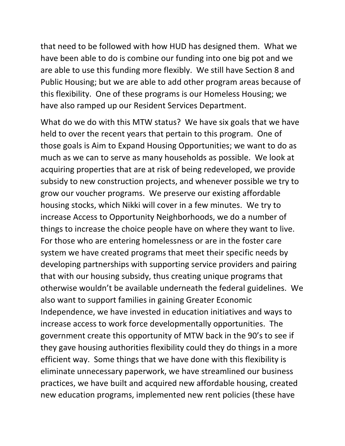that need to be followed with how HUD has designed them. What we have been able to do is combine our funding into one big pot and we are able to use this funding more flexibly. We still have Section 8 and Public Housing; but we are able to add other program areas because of this flexibility. One of these programs is our Homeless Housing; we have also ramped up our Resident Services Department.

What do we do with this MTW status? We have six goals that we have held to over the recent years that pertain to this program. One of those goals is Aim to Expand Housing Opportunities; we want to do as much as we can to serve as many households as possible. We look at acquiring properties that are at risk of being redeveloped, we provide subsidy to new construction projects, and whenever possible we try to grow our voucher programs. We preserve our existing affordable housing stocks, which Nikki will cover in a few minutes. We try to increase Access to Opportunity Neighborhoods, we do a number of things to increase the choice people have on where they want to live. For those who are entering homelessness or are in the foster care system we have created programs that meet their specific needs by developing partnerships with supporting service providers and pairing that with our housing subsidy, thus creating unique programs that otherwise wouldn't be available underneath the federal guidelines. We also want to support families in gaining Greater Economic Independence, we have invested in education initiatives and ways to increase access to work force developmentally opportunities. The government create this opportunity of MTW back in the 90's to see if they gave housing authorities flexibility could they do things in a more efficient way. Some things that we have done with this flexibility is eliminate unnecessary paperwork, we have streamlined our business practices, we have built and acquired new affordable housing, created new education programs, implemented new rent policies (these have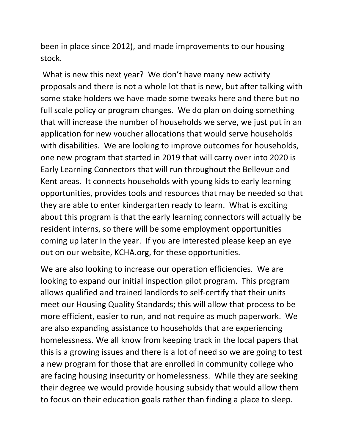been in place since 2012), and made improvements to our housing stock.

 What is new this next year? We don't have many new activity proposals and there is not a whole lot that is new, but after talking with some stake holders we have made some tweaks here and there but no full scale policy or program changes. We do plan on doing something that will increase the number of households we serve, we just put in an application for new voucher allocations that would serve households with disabilities. We are looking to improve outcomes for households, one new program that started in 2019 that will carry over into 2020 is Early Learning Connectors that will run throughout the Bellevue and Kent areas. It connects households with young kids to early learning opportunities, provides tools and resources that may be needed so that they are able to enter kindergarten ready to learn. What is exciting about this program is that the early learning connectors will actually be resident interns, so there will be some employment opportunities coming up later in the year. If you are interested please keep an eye out on our website, KCHA.org, for these opportunities.

We are also looking to increase our operation efficiencies. We are looking to expand our initial inspection pilot program. This program allows qualified and trained landlords to self-certify that their units meet our Housing Quality Standards; this will allow that process to be more efficient, easier to run, and not require as much paperwork. We are also expanding assistance to households that are experiencing homelessness. We all know from keeping track in the local papers that this is a growing issues and there is a lot of need so we are going to test a new program for those that are enrolled in community college who are facing housing insecurity or homelessness. While they are seeking their degree we would provide housing subsidy that would allow them to focus on their education goals rather than finding a place to sleep.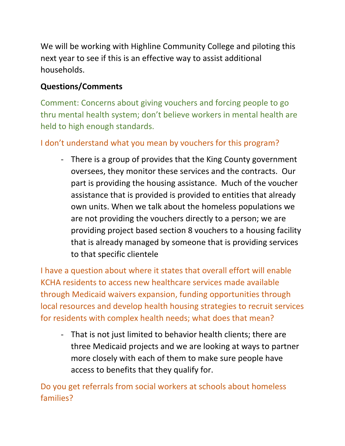We will be working with Highline Community College and piloting this next year to see if this is an effective way to assist additional households.

## **Questions/Comments**

Comment: Concerns about giving vouchers and forcing people to go thru mental health system; don't believe workers in mental health are held to high enough standards.

# I don't understand what you mean by vouchers for this program?

- There is a group of provides that the King County government oversees, they monitor these services and the contracts. Our part is providing the housing assistance. Much of the voucher assistance that is provided is provided to entities that already own units. When we talk about the homeless populations we are not providing the vouchers directly to a person; we are providing project based section 8 vouchers to a housing facility that is already managed by someone that is providing services to that specific clientele

I have a question about where it states that overall effort will enable KCHA residents to access new healthcare services made available through Medicaid waivers expansion, funding opportunities through local resources and develop health housing strategies to recruit services for residents with complex health needs; what does that mean?

- That is not just limited to behavior health clients; there are three Medicaid projects and we are looking at ways to partner more closely with each of them to make sure people have access to benefits that they qualify for.

Do you get referrals from social workers at schools about homeless families?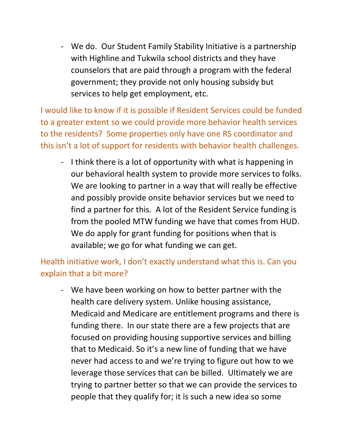- We do. Our Student Family Stability Initiative is a partnership with Highline and Tukwila school districts and they have counselors that are paid through a program with the federal government; they provide not only housing subsidy but services to help get employment, etc.

I would like to know if it is possible if Resident Services could be funded to a greater extent so we could provide more behavior health services to the residents? Some properties only have one RS coordinator and this isn't a lot of support for residents with behavior health challenges.

- I think there is a lot of opportunity with what is happening in our behavioral health system to provide more services to folks. We are looking to partner in a way that will really be effective and possibly provide onsite behavior services but we need to find a partner for this. A lot of the Resident Service funding is from the pooled MTW funding we have that comes from HUD. We do apply for grant funding for positions when that is available; we go for what funding we can get.

Health initiative work, I don't exactly understand what this is. Can you explain that a bit more?

- We have been working on how to better partner with the health care delivery system. Unlike housing assistance, Medicaid and Medicare are entitlement programs and there is funding there. In our state there are a few projects that are focused on providing housing supportive services and billing that to Medicaid. So it's a new line of funding that we have never had access to and we're trying to figure out how to we leverage those services that can be billed. Ultimately we are trying to partner better so that we can provide the services to people that they qualify for; it is such a new idea so some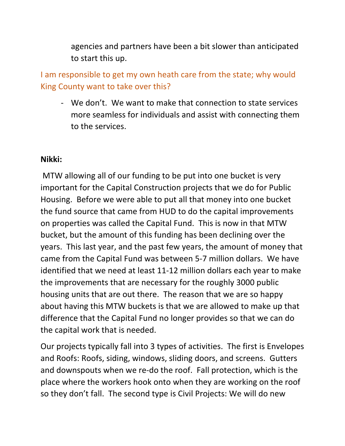agencies and partners have been a bit slower than anticipated to start this up.

I am responsible to get my own heath care from the state; why would King County want to take over this?

- We don't. We want to make that connection to state services more seamless for individuals and assist with connecting them to the services.

#### **Nikki:**

 MTW allowing all of our funding to be put into one bucket is very important for the Capital Construction projects that we do for Public Housing. Before we were able to put all that money into one bucket the fund source that came from HUD to do the capital improvements on properties was called the Capital Fund. This is now in that MTW bucket, but the amount of this funding has been declining over the years. This last year, and the past few years, the amount of money that came from the Capital Fund was between 5-7 million dollars. We have identified that we need at least 11-12 million dollars each year to make the improvements that are necessary for the roughly 3000 public housing units that are out there. The reason that we are so happy about having this MTW buckets is that we are allowed to make up that difference that the Capital Fund no longer provides so that we can do the capital work that is needed.

Our projects typically fall into 3 types of activities. The first is Envelopes and Roofs: Roofs, siding, windows, sliding doors, and screens. Gutters and downspouts when we re-do the roof. Fall protection, which is the place where the workers hook onto when they are working on the roof so they don't fall. The second type is Civil Projects: We will do new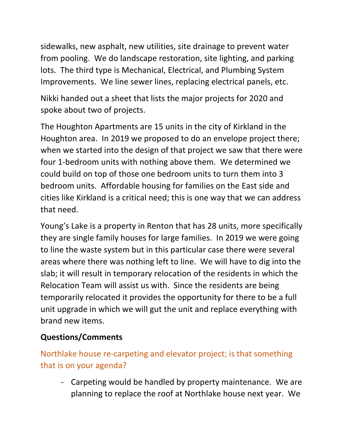sidewalks, new asphalt, new utilities, site drainage to prevent water from pooling. We do landscape restoration, site lighting, and parking lots. The third type is Mechanical, Electrical, and Plumbing System Improvements. We line sewer lines, replacing electrical panels, etc.

Nikki handed out a sheet that lists the major projects for 2020 and spoke about two of projects.

The Houghton Apartments are 15 units in the city of Kirkland in the Houghton area. In 2019 we proposed to do an envelope project there; when we started into the design of that project we saw that there were four 1-bedroom units with nothing above them. We determined we could build on top of those one bedroom units to turn them into 3 bedroom units. Affordable housing for families on the East side and cities like Kirkland is a critical need; this is one way that we can address that need.

Young's Lake is a property in Renton that has 28 units, more specifically they are single family houses for large families. In 2019 we were going to line the waste system but in this particular case there were several areas where there was nothing left to line. We will have to dig into the slab; it will result in temporary relocation of the residents in which the Relocation Team will assist us with. Since the residents are being temporarily relocated it provides the opportunity for there to be a full unit upgrade in which we will gut the unit and replace everything with brand new items.

### **Questions/Comments**

Northlake house re-carpeting and elevator project; is that something that is on your agenda?

- Carpeting would be handled by property maintenance. We are planning to replace the roof at Northlake house next year. We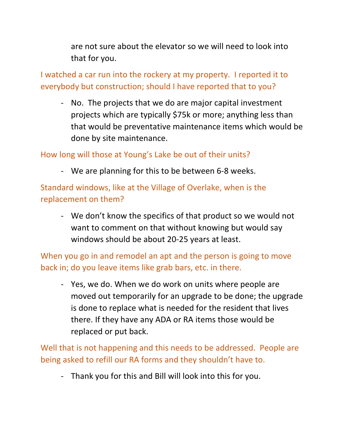are not sure about the elevator so we will need to look into that for you.

I watched a car run into the rockery at my property. I reported it to everybody but construction; should I have reported that to you?

- No. The projects that we do are major capital investment projects which are typically \$75k or more; anything less than that would be preventative maintenance items which would be done by site maintenance.

### How long will those at Young's Lake be out of their units?

- We are planning for this to be between 6-8 weeks.

Standard windows, like at the Village of Overlake, when is the replacement on them?

- We don't know the specifics of that product so we would not want to comment on that without knowing but would say windows should be about 20-25 years at least.

When you go in and remodel an apt and the person is going to move back in; do you leave items like grab bars, etc. in there.

- Yes, we do. When we do work on units where people are moved out temporarily for an upgrade to be done; the upgrade is done to replace what is needed for the resident that lives there. If they have any ADA or RA items those would be replaced or put back.

Well that is not happening and this needs to be addressed. People are being asked to refill our RA forms and they shouldn't have to.

- Thank you for this and Bill will look into this for you.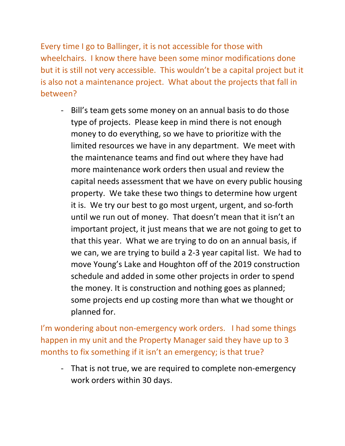Every time I go to Ballinger, it is not accessible for those with wheelchairs. I know there have been some minor modifications done but it is still not very accessible. This wouldn't be a capital project but it is also not a maintenance project. What about the projects that fall in between?

- Bill's team gets some money on an annual basis to do those type of projects. Please keep in mind there is not enough money to do everything, so we have to prioritize with the limited resources we have in any department. We meet with the maintenance teams and find out where they have had more maintenance work orders then usual and review the capital needs assessment that we have on every public housing property. We take these two things to determine how urgent it is. We try our best to go most urgent, urgent, and so-forth until we run out of money. That doesn't mean that it isn't an important project, it just means that we are not going to get to that this year. What we are trying to do on an annual basis, if we can, we are trying to build a 2-3 year capital list. We had to move Young's Lake and Houghton off of the 2019 construction schedule and added in some other projects in order to spend the money. It is construction and nothing goes as planned; some projects end up costing more than what we thought or planned for.

I'm wondering about non-emergency work orders. I had some things happen in my unit and the Property Manager said they have up to 3 months to fix something if it isn't an emergency; is that true?

- That is not true, we are required to complete non-emergency work orders within 30 days.